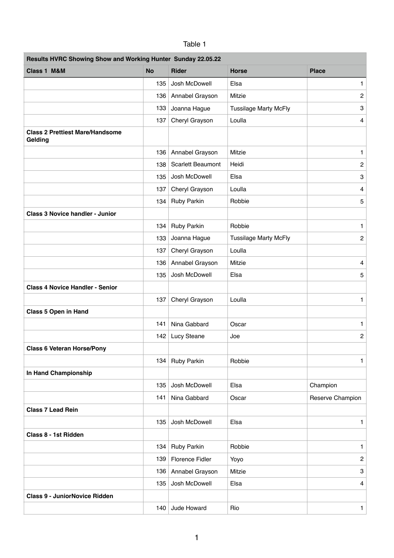| Results HVRC Showing Show and Working Hunter Sunday 22.05.22 |           |                          |                              |                  |  |  |  |
|--------------------------------------------------------------|-----------|--------------------------|------------------------------|------------------|--|--|--|
| Class 1 M&M                                                  | <b>No</b> | <b>Rider</b>             | <b>Horse</b>                 | <b>Place</b>     |  |  |  |
|                                                              | 135       | Josh McDowell            | Elsa                         | 1.               |  |  |  |
|                                                              | 136       | Annabel Grayson          | Mitzie                       | $\overline{c}$   |  |  |  |
|                                                              | 133       | Joanna Hague             | <b>Tussilage Marty McFly</b> | 3                |  |  |  |
|                                                              | 137       | Cheryl Grayson           | Loulla                       | 4                |  |  |  |
| <b>Class 2 Prettiest Mare/Handsome</b><br>Gelding            |           |                          |                              |                  |  |  |  |
|                                                              | 136       | Annabel Grayson          | Mitzie                       | 1                |  |  |  |
|                                                              | 138       | <b>Scarlett Beaumont</b> | Heidi                        | $\overline{c}$   |  |  |  |
|                                                              | 135       | Josh McDowell            | Elsa                         | 3                |  |  |  |
|                                                              | 137       | Cheryl Grayson           | Loulla                       | 4                |  |  |  |
|                                                              | 134       | <b>Ruby Parkin</b>       | Robbie                       | 5                |  |  |  |
| <b>Class 3 Novice handler - Junior</b>                       |           |                          |                              |                  |  |  |  |
|                                                              | 134       | <b>Ruby Parkin</b>       | Robbie                       | 1                |  |  |  |
|                                                              | 133       | Joanna Hague             | <b>Tussilage Marty McFly</b> | $\overline{c}$   |  |  |  |
|                                                              | 137       | Cheryl Grayson           | Loulla                       |                  |  |  |  |
|                                                              | 136       | Annabel Grayson          | Mitzie                       | 4                |  |  |  |
|                                                              | 135       | Josh McDowell            | Elsa                         | 5                |  |  |  |
| <b>Class 4 Novice Handler - Senior</b>                       | 137       | Cheryl Grayson           | Loulla                       | 1                |  |  |  |
| <b>Class 5 Open in Hand</b>                                  |           |                          |                              |                  |  |  |  |
|                                                              | 141       | Nina Gabbard             | Oscar                        | 1                |  |  |  |
|                                                              | 142       | Lucy Steane              | Joe                          | 2                |  |  |  |
| <b>Class 6 Veteran Horse/Pony</b>                            |           |                          |                              |                  |  |  |  |
|                                                              | 134       | <b>Ruby Parkin</b>       | Robbie                       | 1                |  |  |  |
| In Hand Championship                                         |           |                          |                              |                  |  |  |  |
|                                                              | 135       | Josh McDowell            | Elsa                         | Champion         |  |  |  |
|                                                              | 141       | Nina Gabbard             | Oscar                        | Reserve Champion |  |  |  |
| <b>Class 7 Lead Rein</b>                                     |           |                          |                              |                  |  |  |  |
|                                                              | 135       | Josh McDowell            | Elsa                         | 1                |  |  |  |
| Class 8 - 1st Ridden                                         |           |                          |                              |                  |  |  |  |
|                                                              | 134       | <b>Ruby Parkin</b>       | Robbie                       | 1                |  |  |  |
|                                                              | 139       | <b>Florence Fidler</b>   | Yoyo                         | $\overline{c}$   |  |  |  |
|                                                              | 136       | Annabel Grayson          | Mitzie                       | 3                |  |  |  |
|                                                              | 135       | Josh McDowell            | Elsa                         | 4                |  |  |  |
| <b>Class 9 - JuniorNovice Ridden</b>                         |           |                          |                              |                  |  |  |  |
|                                                              | 140       | Jude Howard              | Rio                          | 1                |  |  |  |

## Table 1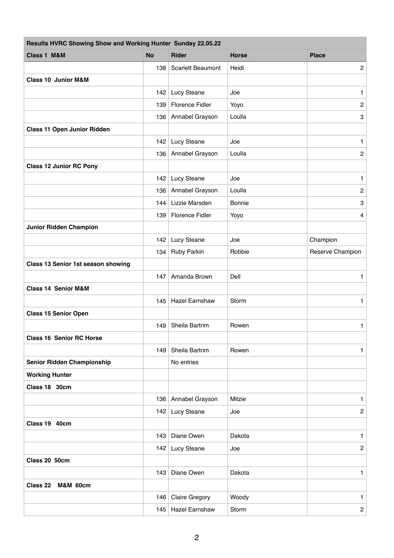| Results HVRC Showing Show and Working Hunter Sunday 22.05.22 |           |                          |              |                  |  |  |  |
|--------------------------------------------------------------|-----------|--------------------------|--------------|------------------|--|--|--|
| <b>Class 1 M&amp;M</b>                                       | <b>No</b> | <b>Rider</b>             | <b>Horse</b> | <b>Place</b>     |  |  |  |
|                                                              | 138       | <b>Scarlett Beaumont</b> | Heidi        | $\mathbf{2}$     |  |  |  |
| <b>Class 10 Junior M&amp;M</b>                               |           |                          |              |                  |  |  |  |
|                                                              | 142       | Lucy Steane              | Joe          | 1                |  |  |  |
|                                                              | 139       | <b>Florence Fidler</b>   | Yoyo         | $\overline{c}$   |  |  |  |
|                                                              | 136       | Annabel Grayson          | Loulla       | 3                |  |  |  |
| <b>Class 11 Open Junior Ridden</b>                           |           |                          |              |                  |  |  |  |
|                                                              | 142       | Lucy Steane              | Joe          | 1                |  |  |  |
|                                                              | 136       | Annabel Grayson          | Loulla       | $\overline{c}$   |  |  |  |
| <b>Class 12 Junior RC Pony</b>                               |           |                          |              |                  |  |  |  |
|                                                              | 142       | Lucy Steane              | Joe          | 1                |  |  |  |
|                                                              | 136       | Annabel Grayson          | Loulla       | $\overline{c}$   |  |  |  |
|                                                              | 144       | Lizzie Marsden           | Bonnie       | 3                |  |  |  |
|                                                              | 139       | <b>Florence Fidler</b>   | Yoyo         | 4                |  |  |  |
| <b>Junior Ridden Champion</b>                                |           |                          |              |                  |  |  |  |
|                                                              | 142       | Lucy Steane              | Joe          | Champion         |  |  |  |
|                                                              | 134       | Ruby Parkin              | Robbie       | Reserve Champion |  |  |  |
| Class 13 Senior 1st season showing                           |           |                          |              |                  |  |  |  |
|                                                              | 147       | Amanda Brown             | Dell         | 1                |  |  |  |
| <b>Class 14 Senior M&amp;M</b>                               |           |                          |              |                  |  |  |  |
|                                                              | 145       | <b>Hazel Earnshaw</b>    | Storm        | 1                |  |  |  |
| <b>Class 15 Senior Open</b>                                  |           |                          |              |                  |  |  |  |
|                                                              | 149       | Sheila Bartrim           | Rowen        | 1                |  |  |  |
| <b>Class 16 Senior RC Horse</b>                              |           |                          |              |                  |  |  |  |
|                                                              | 149       | Sheila Bartrim           | Rowen        | 1                |  |  |  |
| <b>Senior Ridden Championship</b>                            |           | No entries               |              |                  |  |  |  |
| <b>Working Hunter</b>                                        |           |                          |              |                  |  |  |  |
| Class 18 30cm                                                |           |                          |              |                  |  |  |  |
|                                                              | 136       | Annabel Grayson          | Mitzie       | 1                |  |  |  |
|                                                              | 142       | Lucy Steane              | Joe          | $\mathbf{2}$     |  |  |  |
| Class 19 40cm                                                |           |                          |              |                  |  |  |  |
|                                                              | 143       | Diane Owen               | Dakota       | 1.               |  |  |  |
|                                                              | 142       | Lucy Steane              | Joe          | $\overline{c}$   |  |  |  |
| Class 20 50cm                                                |           |                          |              |                  |  |  |  |
|                                                              | 143       | Diane Owen               | Dakota       | 1                |  |  |  |
| <b>Class 22</b><br><b>M&amp;M 60cm</b>                       |           |                          |              |                  |  |  |  |
|                                                              | 146       | <b>Claire Gregory</b>    | Woody        | 1                |  |  |  |
|                                                              | 145       | <b>Hazel Earnshaw</b>    | Storm        | $\mathbf{2}$     |  |  |  |